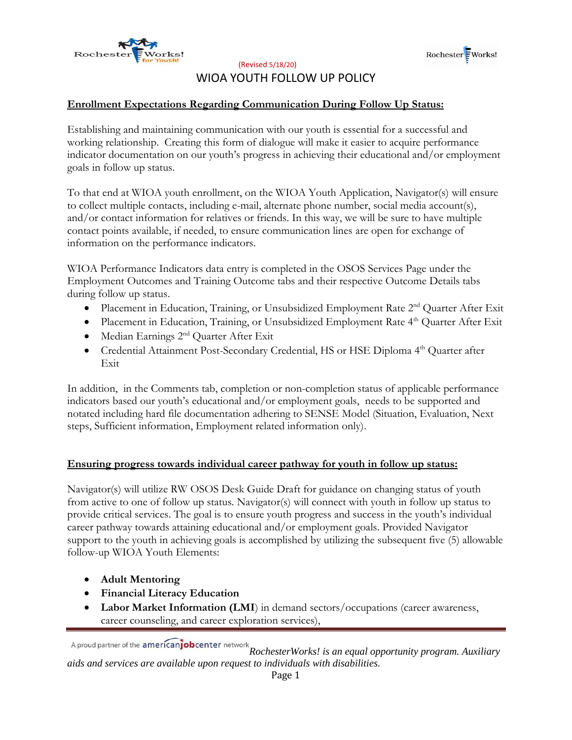



(Revised 5/18/20)

## WIOA YOUTH FOLLOW UP POLICY

### **Enrollment Expectations Regarding Communication During Follow Up Status:**

Establishing and maintaining communication with our youth is essential for a successful and working relationship. Creating this form of dialogue will make it easier to acquire performance indicator documentation on our youth's progress in achieving their educational and/or employment goals in follow up status.

To that end at WIOA youth enrollment, on the WIOA Youth Application, Navigator(s) will ensure to collect multiple contacts, including e-mail, alternate phone number, social media account(s), and/or contact information for relatives or friends. In this way, we will be sure to have multiple contact points available, if needed, to ensure communication lines are open for exchange of information on the performance indicators.

WIOA Performance Indicators data entry is completed in the OSOS Services Page under the Employment Outcomes and Training Outcome tabs and their respective Outcome Details tabs during follow up status.

- Placement in Education, Training, or Unsubsidized Employment Rate 2nd Quarter After Exit
- Placement in Education, Training, or Unsubsidized Employment Rate 4<sup>th</sup> Quarter After Exit
- Median Earnings 2<sup>nd</sup> Quarter After Exit
- Credential Attainment Post-Secondary Credential, HS or HSE Diploma 4<sup>th</sup> Quarter after Exit

In addition, in the Comments tab, completion or non-completion status of applicable performance indicators based our youth's educational and/or employment goals, needs to be supported and notated including hard file documentation adhering to SENSE Model (Situation, Evaluation, Next steps, Sufficient information, Employment related information only).

#### **Ensuring progress towards individual career pathway for youth in follow up status:**

Navigator(s) will utilize RW OSOS Desk Guide Draft for guidance on changing status of youth from active to one of follow up status. Navigator(s) will connect with youth in follow up status to provide critical services. The goal is to ensure youth progress and success in the youth's individual career pathway towards attaining educational and/or employment goals. Provided Navigator support to the youth in achieving goals is accomplished by utilizing the subsequent five (5) allowable follow-up WIOA Youth Elements:

- **Adult Mentoring**
- **Financial Literacy Education**
- **Labor Market Information (LMI**) in demand sectors/occupations (career awareness, career counseling, and career exploration services),

*RochesterWorks! is an equal opportunity program. Auxiliary aids and services are available upon request to individuals with disabilities.*